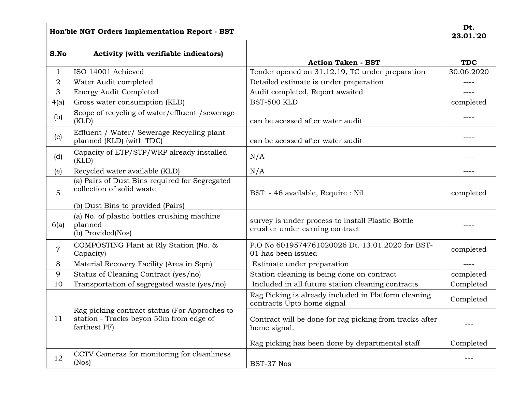| Hon'ble NGT Orders Implementation Report - BST |                                                                                                                  |                                                                                     | Dt.<br>23.01.'20 |
|------------------------------------------------|------------------------------------------------------------------------------------------------------------------|-------------------------------------------------------------------------------------|------------------|
| S.No                                           | <b>Activity (with verifiable indicators)</b>                                                                     | <b>Action Taken - BST</b>                                                           | <b>TDC</b>       |
| $\mathbf{1}$                                   | ISO 14001 Achieved                                                                                               | Tender opened on 31.12.19, TC under preparation                                     | 30.06.2020       |
| $\overline{2}$                                 | Water Audit completed                                                                                            | Detailed estimate is under preperation                                              | ----             |
| 3                                              | <b>Energy Audit Completed</b>                                                                                    | Audit completed, Report awaited                                                     | ----             |
| 4(a)                                           | Gross water consumption (KLD)                                                                                    | BST-500 KLD                                                                         | completed        |
| (b)                                            | Scope of recycling of water/effluent/sewerage<br>(KLD)                                                           | can be acessed after water audit                                                    | ----             |
| (c)                                            | Effluent / Water/ Sewerage Recycling plant<br>planned (KLD) (with TDC)                                           | can be acessed after water audit                                                    | ----             |
| (d)                                            | Capacity of ETP/STP/WRP already installed<br>(KLD)                                                               | N/A                                                                                 | ----             |
| (e)                                            | Recycled water available (KLD)                                                                                   | N/A                                                                                 | ----             |
| 5                                              | (a) Pairs of Dust Bins required for Segregated<br>collection of solid waste                                      | BST - 46 available, Require : Nil                                                   | completed        |
| 6(a)                                           | (b) Dust Bins to provided (Pairs)<br>(a) No. of plastic bottles crushing machine<br>planned<br>(b) Provided(Nos) | survey is under process to install Plastic Bottle<br>crusher under earning contract |                  |
| 7                                              | COMPOSTING Plant at Rly Station (No. &<br>Capacity)                                                              | P.O No 6019574761020026 Dt. 13.01.2020 for BST-<br>01 has been issued               | completed        |
| 8                                              | Material Recovery Facility (Area in Sqm)                                                                         | Estimate under preparation                                                          | $- - - -$        |
| 9                                              | Status of Cleaning Contract (yes/no)                                                                             | Station cleaning is being done on contract                                          | completed        |
| 10                                             | Transportation of segregated waste (yes/no)                                                                      | Included in all future station cleaning contracts                                   | Completed        |
| 11                                             | Rag picking contract status (For Approches to<br>station - Tracks beyon 50m from edge of<br>farthest PF)         | Rag Picking is already included in Platform cleaning<br>contracts Upto home signal  | Completed        |
|                                                |                                                                                                                  | Contract will be done for rag picking from tracks after<br>home signal.             |                  |
|                                                |                                                                                                                  | Rag picking has been done by departmental staff                                     | Completed        |
| 12                                             | CCTV Cameras for monitoring for cleanliness<br>(Nos)                                                             | BST-37 Nos                                                                          |                  |